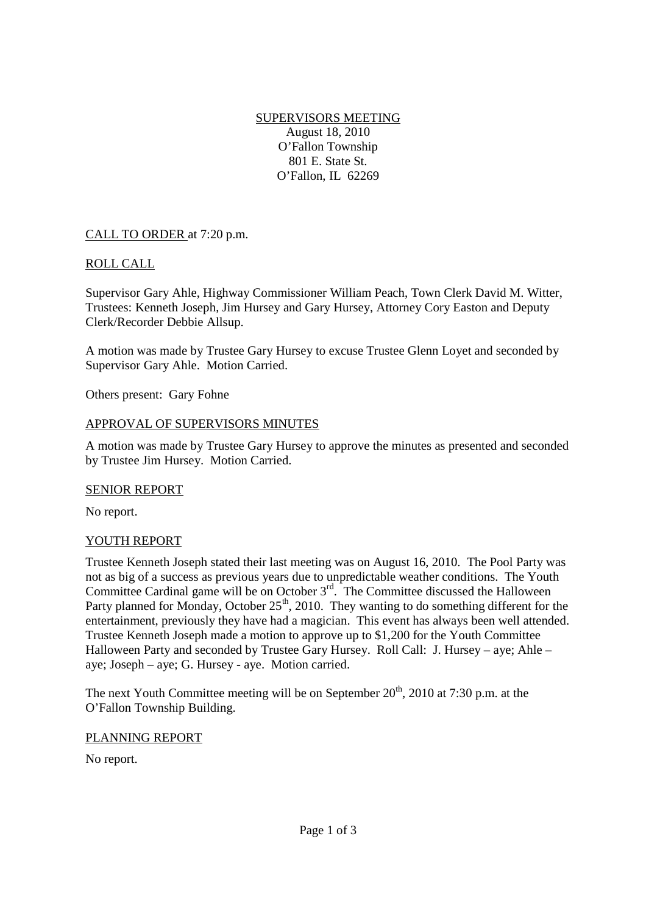SUPERVISORS MEETING August 18, 2010 O'Fallon Township 801 E. State St. O'Fallon, IL 62269

## CALL TO ORDER at 7:20 p.m.

## ROLL CALL

Supervisor Gary Ahle, Highway Commissioner William Peach, Town Clerk David M. Witter, Trustees: Kenneth Joseph, Jim Hursey and Gary Hursey, Attorney Cory Easton and Deputy Clerk/Recorder Debbie Allsup.

A motion was made by Trustee Gary Hursey to excuse Trustee Glenn Loyet and seconded by Supervisor Gary Ahle. Motion Carried.

Others present: Gary Fohne

### APPROVAL OF SUPERVISORS MINUTES

A motion was made by Trustee Gary Hursey to approve the minutes as presented and seconded by Trustee Jim Hursey. Motion Carried.

### SENIOR REPORT

No report.

### YOUTH REPORT

Trustee Kenneth Joseph stated their last meeting was on August 16, 2010. The Pool Party was not as big of a success as previous years due to unpredictable weather conditions. The Youth Committee Cardinal game will be on October  $3<sup>rd</sup>$ . The Committee discussed the Halloween Party planned for Monday, October 25<sup>th</sup>, 2010. They wanting to do something different for the entertainment, previously they have had a magician. This event has always been well attended. Trustee Kenneth Joseph made a motion to approve up to \$1,200 for the Youth Committee Halloween Party and seconded by Trustee Gary Hursey. Roll Call: J. Hursey – aye; Ahle – aye; Joseph – aye; G. Hursey - aye. Motion carried.

The next Youth Committee meeting will be on September  $20<sup>th</sup>$ , 2010 at 7:30 p.m. at the O'Fallon Township Building.

### PLANNING REPORT

No report.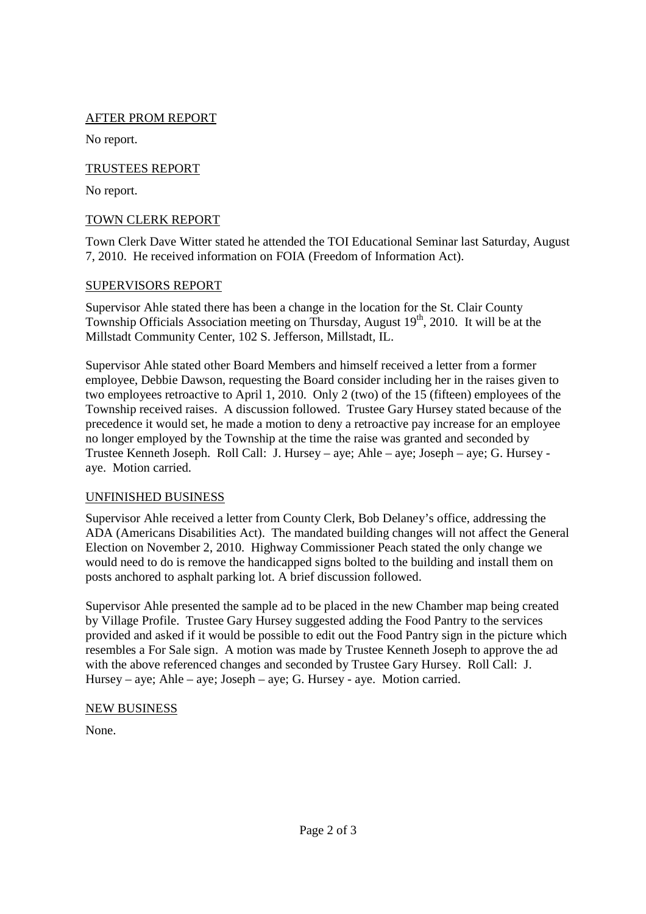## AFTER PROM REPORT

No report.

## TRUSTEES REPORT

No report.

## TOWN CLERK REPORT

Town Clerk Dave Witter stated he attended the TOI Educational Seminar last Saturday, August 7, 2010. He received information on FOIA (Freedom of Information Act).

## SUPERVISORS REPORT

Supervisor Ahle stated there has been a change in the location for the St. Clair County Township Officials Association meeting on Thursday, August  $19<sup>th</sup>$ , 2010. It will be at the Millstadt Community Center, 102 S. Jefferson, Millstadt, IL.

Supervisor Ahle stated other Board Members and himself received a letter from a former employee, Debbie Dawson, requesting the Board consider including her in the raises given to two employees retroactive to April 1, 2010. Only 2 (two) of the 15 (fifteen) employees of the Township received raises. A discussion followed. Trustee Gary Hursey stated because of the precedence it would set, he made a motion to deny a retroactive pay increase for an employee no longer employed by the Township at the time the raise was granted and seconded by Trustee Kenneth Joseph. Roll Call: J. Hursey – aye; Ahle – aye; Joseph – aye; G. Hursey aye. Motion carried.

## UNFINISHED BUSINESS

Supervisor Ahle received a letter from County Clerk, Bob Delaney's office, addressing the ADA (Americans Disabilities Act). The mandated building changes will not affect the General Election on November 2, 2010. Highway Commissioner Peach stated the only change we would need to do is remove the handicapped signs bolted to the building and install them on posts anchored to asphalt parking lot. A brief discussion followed.

Supervisor Ahle presented the sample ad to be placed in the new Chamber map being created by Village Profile. Trustee Gary Hursey suggested adding the Food Pantry to the services provided and asked if it would be possible to edit out the Food Pantry sign in the picture which resembles a For Sale sign. A motion was made by Trustee Kenneth Joseph to approve the ad with the above referenced changes and seconded by Trustee Gary Hursey. Roll Call: J. Hursey – aye; Ahle – aye; Joseph – aye; G. Hursey - aye. Motion carried.

# NEW BUSINESS

None.